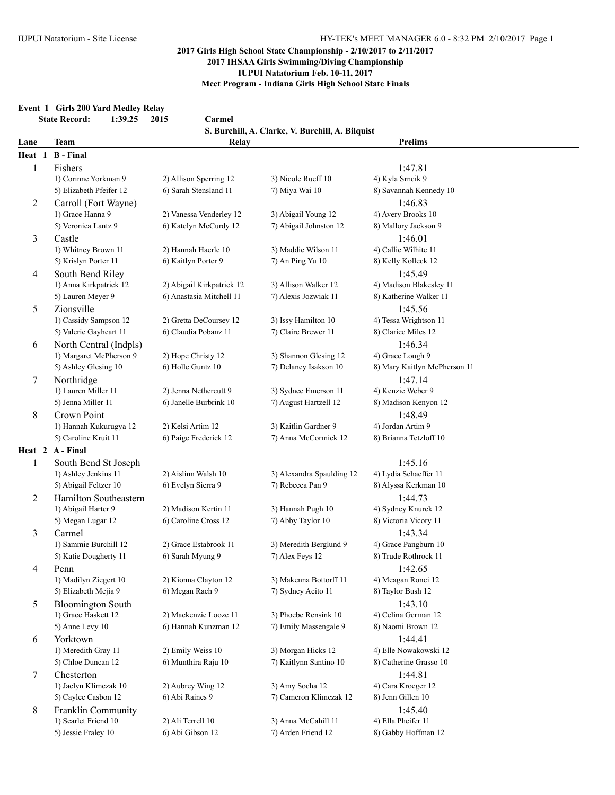### **Event 1 Girls 200 Yard Medley Relay**

| <b>State Record:</b> | 1:39.25 | 2015 |  |
|----------------------|---------|------|--|
|                      |         |      |  |

|                          | <b>State Record:</b><br>1:39.25                 | Carmel<br>2015                                  |                                                  |                                         |  |
|--------------------------|-------------------------------------------------|-------------------------------------------------|--------------------------------------------------|-----------------------------------------|--|
|                          |                                                 |                                                 | S. Burchill, A. Clarke, V. Burchill, A. Bilquist |                                         |  |
| Lane                     | <b>Team</b>                                     | Relay                                           |                                                  | <b>Prelims</b>                          |  |
| Heat 1                   | <b>B</b> - Final                                |                                                 |                                                  |                                         |  |
| $\mathbf{1}$             | Fishers                                         |                                                 |                                                  | 1:47.81                                 |  |
|                          | 1) Corinne Yorkman 9<br>5) Elizabeth Pfeifer 12 | 2) Allison Sperring 12<br>6) Sarah Stensland 11 | 3) Nicole Rueff 10                               | 4) Kyla Srncik 9                        |  |
|                          |                                                 |                                                 | 7) Miya Wai 10                                   | 8) Savannah Kennedy 10                  |  |
| $\overline{c}$           | Carroll (Fort Wayne)<br>1) Grace Hanna 9        | 2) Vanessa Venderley 12                         | 3) Abigail Young 12                              | 1:46.83<br>4) Avery Brooks 10           |  |
|                          | 5) Veronica Lantz 9                             | 6) Katelyn McCurdy 12                           | 7) Abigail Johnston 12                           | 8) Mallory Jackson 9                    |  |
| 3                        | Castle                                          |                                                 |                                                  | 1:46.01                                 |  |
|                          | 1) Whitney Brown 11                             | 2) Hannah Haerle 10                             | 3) Maddie Wilson 11                              | 4) Callie Wilhite 11                    |  |
|                          | 5) Krislyn Porter 11                            | 6) Kaitlyn Porter 9                             | 7) An Ping Yu 10                                 | 8) Kelly Kolleck 12                     |  |
| 4                        | South Bend Riley                                |                                                 |                                                  | 1:45.49                                 |  |
|                          | 1) Anna Kirkpatrick 12                          | 2) Abigail Kirkpatrick 12                       | 3) Allison Walker 12                             | 4) Madison Blakesley 11                 |  |
|                          | 5) Lauren Meyer 9                               | 6) Anastasia Mitchell 11                        | 7) Alexis Jozwiak 11                             | 8) Katherine Walker 11                  |  |
| 5                        | Zionsville                                      |                                                 |                                                  | 1:45.56                                 |  |
|                          | 1) Cassidy Sampson 12                           | 2) Gretta DeCoursey 12                          | 3) Issy Hamilton 10                              | 4) Tessa Wrightson 11                   |  |
|                          | 5) Valerie Gayheart 11                          | 6) Claudia Pobanz 11                            | 7) Claire Brewer 11                              | 8) Clarice Miles 12                     |  |
| 6                        | North Central (Indpls)                          |                                                 |                                                  | 1:46.34                                 |  |
|                          | 1) Margaret McPherson 9                         | 2) Hope Christy 12                              | 3) Shannon Glesing 12                            | 4) Grace Lough 9                        |  |
|                          | 5) Ashley Glesing 10                            | 6) Holle Guntz 10                               | 7) Delaney Isakson 10                            | 8) Mary Kaitlyn McPherson 11            |  |
| 7                        | Northridge                                      |                                                 |                                                  | 1:47.14                                 |  |
|                          | 1) Lauren Miller 11                             | 2) Jenna Nethercutt 9                           | 3) Sydnee Emerson 11                             | 4) Kenzie Weber 9                       |  |
|                          | 5) Jenna Miller 11                              | 6) Janelle Burbrink 10                          | 7) August Hartzell 12                            | 8) Madison Kenyon 12                    |  |
| 8                        | Crown Point                                     |                                                 |                                                  | 1:48.49                                 |  |
|                          | 1) Hannah Kukurugya 12                          | 2) Kelsi Artim 12                               | 3) Kaitlin Gardner 9                             | 4) Jordan Artim 9                       |  |
|                          | 5) Caroline Kruit 11                            | 6) Paige Frederick 12                           | 7) Anna McCormick 12                             | 8) Brianna Tetzloff 10                  |  |
|                          | Heat 2 A-Final                                  |                                                 |                                                  |                                         |  |
| $\mathbf{1}$             | South Bend St Joseph<br>1) Ashley Jenkins 11    | 2) Aislinn Walsh 10                             | 3) Alexandra Spaulding 12                        | 1:45.16<br>4) Lydia Schaeffer 11        |  |
|                          | 5) Abigail Feltzer 10                           | 6) Evelyn Sierra 9                              | 7) Rebecca Pan 9                                 | 8) Alyssa Kerkman 10                    |  |
| 2                        | Hamilton Southeastern                           |                                                 |                                                  | 1:44.73                                 |  |
|                          | 1) Abigail Harter 9                             | 2) Madison Kertin 11                            | 3) Hannah Pugh 10                                | 4) Sydney Knurek 12                     |  |
|                          | 5) Megan Lugar 12                               | 6) Caroline Cross 12                            | 7) Abby Taylor 10                                | 8) Victoria Vicory 11                   |  |
| 3                        | Carmel                                          |                                                 |                                                  | 1:43.34                                 |  |
|                          | 1) Sammie Burchill 12                           | 2) Grace Estabrook 11                           | 3) Meredith Berglund 9                           | 4) Grace Pangburn 10                    |  |
|                          | 5) Katie Dougherty 11                           | 6) Sarah Myung 9                                | 7) Alex Feys 12                                  | 8) Trude Rothrock 11                    |  |
| $\overline{\mathcal{A}}$ | Penn                                            |                                                 |                                                  | 1:42.65                                 |  |
|                          | 1) Madilyn Ziegert 10                           | 2) Kionna Clayton 12                            | 3) Makenna Bottorff 11                           | 4) Meagan Ronci 12                      |  |
|                          | 5) Elizabeth Mejia 9                            | 6) Megan Rach 9                                 | 7) Sydney Acito 11                               | 8) Taylor Bush 12                       |  |
| 5                        | <b>Bloomington South</b>                        |                                                 |                                                  | 1:43.10                                 |  |
|                          | 1) Grace Haskett 12                             | 2) Mackenzie Looze 11                           | 3) Phoebe Rensink 10                             | 4) Celina German 12                     |  |
|                          | 5) Anne Levy 10                                 | 6) Hannah Kunzman 12                            | 7) Emily Massengale 9                            | 8) Naomi Brown 12                       |  |
| 6                        | Yorktown                                        |                                                 |                                                  | 1:44.41                                 |  |
|                          | 1) Meredith Gray 11                             | 2) Emily Weiss 10                               | 3) Morgan Hicks 12                               | 4) Elle Nowakowski 12                   |  |
|                          | 5) Chloe Duncan 12                              | 6) Munthira Raju 10                             | 7) Kaitlynn Santino 10                           | 8) Catherine Grasso 10                  |  |
| 7                        | Chesterton                                      |                                                 |                                                  | 1:44.81                                 |  |
|                          | 1) Jaclyn Klimczak 10<br>5) Caylee Casbon 12    | 2) Aubrey Wing 12<br>6) Abi Raines 9            | 3) Amy Socha 12<br>7) Cameron Klimczak 12        | 4) Cara Kroeger 12<br>8) Jenn Gillen 10 |  |
| 8                        | Franklin Community                              |                                                 |                                                  | 1:45.40                                 |  |
|                          | 1) Scarlet Friend 10                            | 2) Ali Terrell 10                               | 3) Anna McCahill 11                              | 4) Ella Pheifer 11                      |  |
|                          | 5) Jessie Fraley 10                             | 6) Abi Gibson 12                                | 7) Arden Friend 12                               | 8) Gabby Hoffman 12                     |  |
|                          |                                                 |                                                 |                                                  |                                         |  |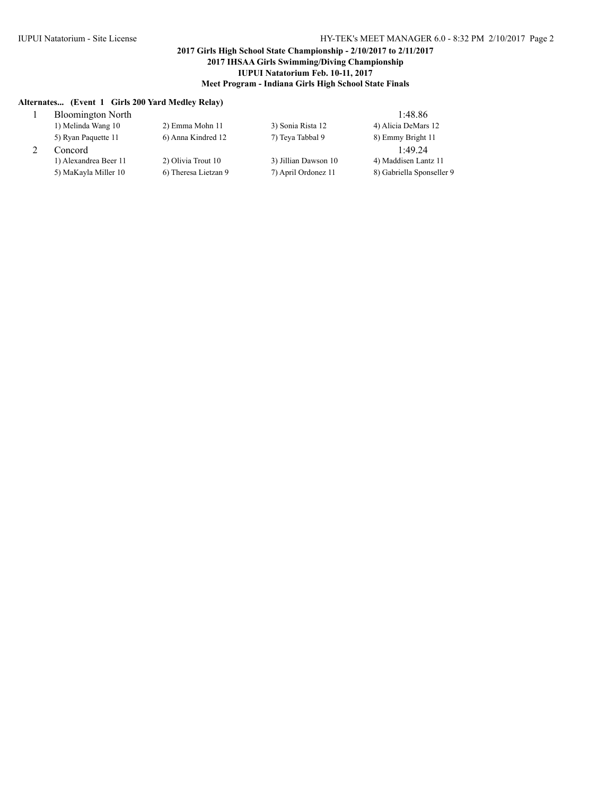### **Alternates... (Event 1 Girls 200 Yard Medley Relay)**

| <b>Bloomington North</b> |                      |                      | 1:48.86                   |
|--------------------------|----------------------|----------------------|---------------------------|
| 1) Melinda Wang 10       | 2) Emma Mohn 11      | 3) Sonia Rista 12    | 4) Alicia DeMars 12       |
| 5) Ryan Paquette 11      | 6) Anna Kindred 12   | 7) Teva Tabbal 9     | 8) Emmy Bright 11         |
| Concord                  |                      |                      | 1.4924                    |
| 1) Alexandrea Beer 11    | 2) Olivia Trout 10   | 3) Jillian Dawson 10 | 4) Maddisen Lantz 11      |
| 5) MaKayla Miller 10     | 6) Theresa Lietzan 9 | 7) April Ordonez 11  | 8) Gabriella Sponseller 9 |
|                          |                      |                      |                           |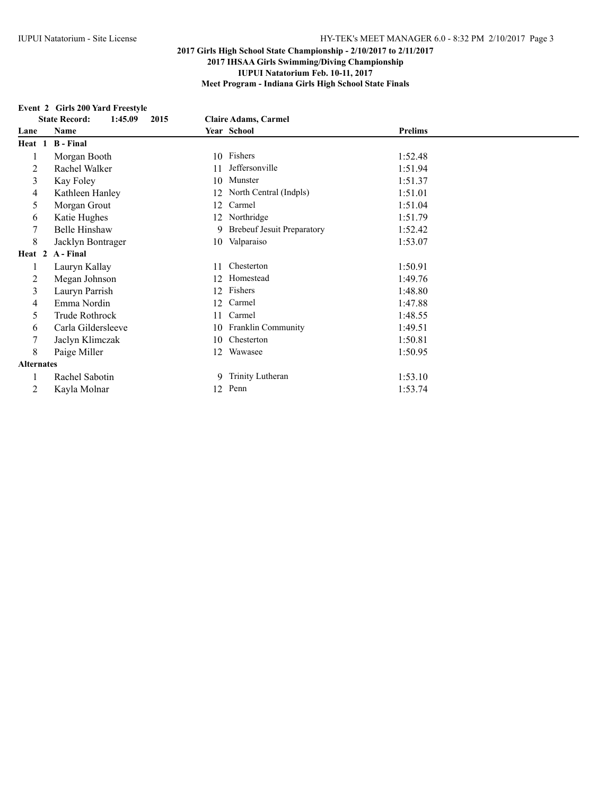# **Event 2 Girls 200 Yard Freestyle**

|                   | $E$ vent $E$ unis $E_{\rm UV}$ faru freestyle |                              |                |  |  |
|-------------------|-----------------------------------------------|------------------------------|----------------|--|--|
|                   | <b>State Record:</b><br>1:45.09<br>2015       | <b>Claire Adams, Carmel</b>  |                |  |  |
| Lane              | Name                                          | Year School                  | <b>Prelims</b> |  |  |
| Heat 1            | <b>B</b> - Final                              |                              |                |  |  |
| 1                 | Morgan Booth                                  | 10 Fishers                   | 1:52.48        |  |  |
| 2                 | Rachel Walker                                 | Jeffersonville<br>11         | 1:51.94        |  |  |
| 3                 | Kay Foley                                     | Munster<br>10                | 1:51.37        |  |  |
| 4                 | Kathleen Hanley                               | North Central (Indpls)<br>12 | 1:51.01        |  |  |
| 5                 | Morgan Grout                                  | Carmel<br>12                 | 1:51.04        |  |  |
| 6                 | Katie Hughes                                  | Northridge<br>12             | 1:51.79        |  |  |
| 7                 | <b>Belle Hinshaw</b>                          | 9 Brebeuf Jesuit Preparatory | 1:52.42        |  |  |
| 8                 | Jacklyn Bontrager                             | Valparaiso<br>10             | 1:53.07        |  |  |
|                   | Heat 2 A-Final                                |                              |                |  |  |
| 1                 | Lauryn Kallay                                 | Chesterton<br>11             | 1:50.91        |  |  |
| 2                 | Megan Johnson                                 | Homestead<br>12              | 1:49.76        |  |  |
| 3                 | Lauryn Parrish                                | Fishers<br>12                | 1:48.80        |  |  |
| 4                 | Emma Nordin                                   | Carmel<br>12                 | 1:47.88        |  |  |
| 5.                | Trude Rothrock                                | Carmel<br>11                 | 1:48.55        |  |  |
| 6                 | Carla Gildersleeve                            | 10 Franklin Community        | 1:49.51        |  |  |
| 7                 | Jaclyn Klimczak                               | Chesterton<br>10             | 1:50.81        |  |  |
| 8                 | Paige Miller                                  | Wawasee<br>12                | 1:50.95        |  |  |
| <b>Alternates</b> |                                               |                              |                |  |  |
| 1                 | Rachel Sabotin                                | 9 Trinity Lutheran           | 1:53.10        |  |  |
| 2                 | Kayla Molnar                                  | 12 Penn                      | 1:53.74        |  |  |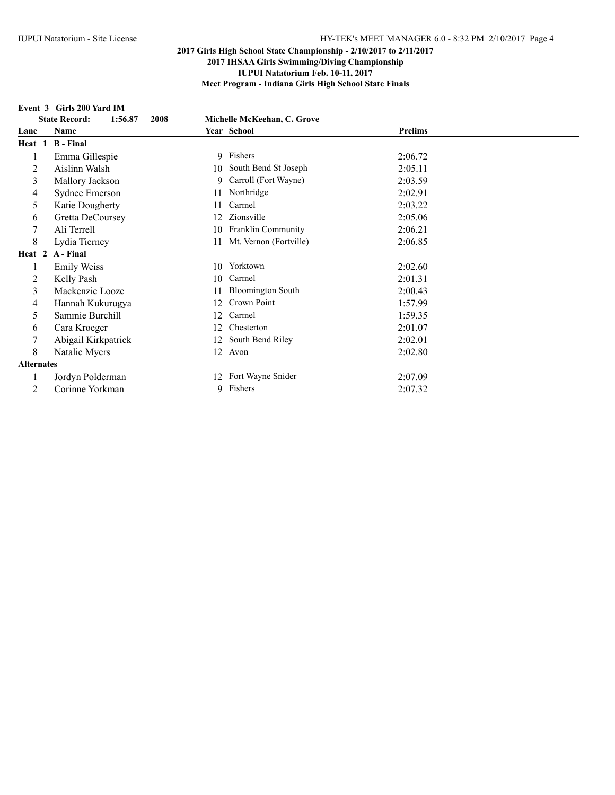#### **Event 3 Girls 200 Yard IM**

|                   | вусие за синя до тата пу                |                                |                |
|-------------------|-----------------------------------------|--------------------------------|----------------|
|                   | 1:56.87<br><b>State Record:</b><br>2008 | Michelle McKeehan, C. Grove    |                |
| Lane              | Name                                    | Year School                    | <b>Prelims</b> |
| Heat 1            | <b>B</b> - Final                        |                                |                |
|                   | Emma Gillespie                          | 9 Fishers                      | 2:06.72        |
| 2                 | Aislinn Walsh                           | South Bend St Joseph<br>10     | 2:05.11        |
| 3                 | Mallory Jackson                         | Carroll (Fort Wayne)<br>9      | 2:03.59        |
| 4                 | Sydnee Emerson                          | Northridge<br>11               | 2:02.91        |
| 5                 | Katie Dougherty                         | Carmel<br>11                   | 2:03.22        |
| 6                 | Gretta DeCoursey                        | Zionsville<br>12               | 2:05.06        |
| 7                 | Ali Terrell                             | Franklin Community<br>10       | 2:06.21        |
| 8                 | Lydia Tierney                           | Mt. Vernon (Fortville)<br>11   | 2:06.85        |
| Heat 2            | A - Final                               |                                |                |
|                   | <b>Emily Weiss</b>                      | 10 Yorktown                    | 2:02.60        |
| 2                 | Kelly Pash                              | Carmel<br>10                   | 2:01.31        |
| 3                 | Mackenzie Looze                         | <b>Bloomington South</b><br>11 | 2:00.43        |
| 4                 | Hannah Kukurugya                        | Crown Point<br>12              | 1:57.99        |
| 5                 | Sammie Burchill                         | Carmel<br>12                   | 1:59.35        |
| 6                 | Cara Kroeger                            | Chesterton<br>12               | 2:01.07        |
| 7                 | Abigail Kirkpatrick                     | South Bend Riley<br>12         | 2:02.01        |
| $\,8\,$           | Natalie Myers                           | Avon<br>12                     | 2:02.80        |
| <b>Alternates</b> |                                         |                                |                |
|                   | Jordyn Polderman                        | Fort Wayne Snider<br>12        | 2:07.09        |
| 2                 | Corinne Yorkman                         | 9 Fishers                      | 2:07.32        |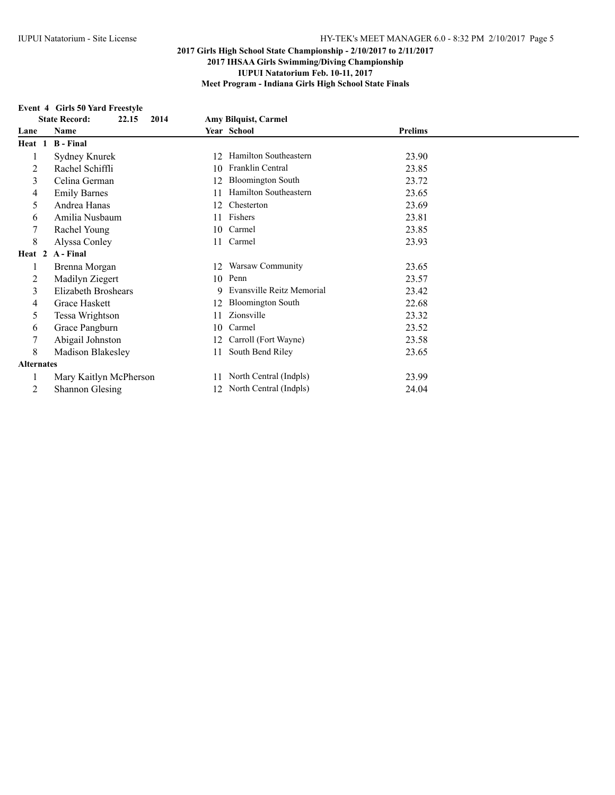# **Event 4 Girls 50 Yard Freestyle**

|                   | $E$ vene $\tau$ unis sv faru fieesevic |                                |                |
|-------------------|----------------------------------------|--------------------------------|----------------|
|                   | 22.15<br>2014<br><b>State Record:</b>  | <b>Amy Bilguist, Carmel</b>    |                |
| Lane              | Name                                   | Year School                    | <b>Prelims</b> |
| Heat 1            | <b>B</b> - Final                       |                                |                |
|                   | Sydney Knurek                          | Hamilton Southeastern<br>12    | 23.90          |
| 2                 | Rachel Schiffli                        | Franklin Central<br>10         | 23.85          |
| 3                 | Celina German                          | <b>Bloomington South</b><br>12 | 23.72          |
| 4                 | <b>Emily Barnes</b>                    | Hamilton Southeastern<br>11    | 23.65          |
| 5                 | Andrea Hanas                           | Chesterton<br>12               | 23.69          |
| 6                 | Amilia Nusbaum                         | Fishers<br>11                  | 23.81          |
|                   | Rachel Young                           | Carmel<br>10                   | 23.85          |
| 8                 | Alyssa Conley                          | Carmel                         | 23.93          |
| Heat 2            | A - Final                              |                                |                |
|                   | Brenna Morgan                          | Warsaw Community<br>12         | 23.65          |
| 2                 | Madilyn Ziegert                        | Penn<br>10                     | 23.57          |
| 3                 | Elizabeth Broshears                    | Evansville Reitz Memorial<br>9 | 23.42          |
| 4                 | Grace Haskett                          | <b>Bloomington South</b><br>12 | 22.68          |
| 5                 | Tessa Wrightson                        | Zionsville                     | 23.32          |
| 6                 | Grace Pangburn                         | Carmel<br>10                   | 23.52          |
| 7                 | Abigail Johnston                       | Carroll (Fort Wayne)<br>12     | 23.58          |
| 8                 | Madison Blakesley                      | South Bend Riley<br>11         | 23.65          |
| <b>Alternates</b> |                                        |                                |                |
|                   | Mary Kaitlyn McPherson                 | North Central (Indpls)<br>11   | 23.99          |
| 2                 | <b>Shannon Glesing</b>                 | 12 North Central (Indpls)      | 24.04          |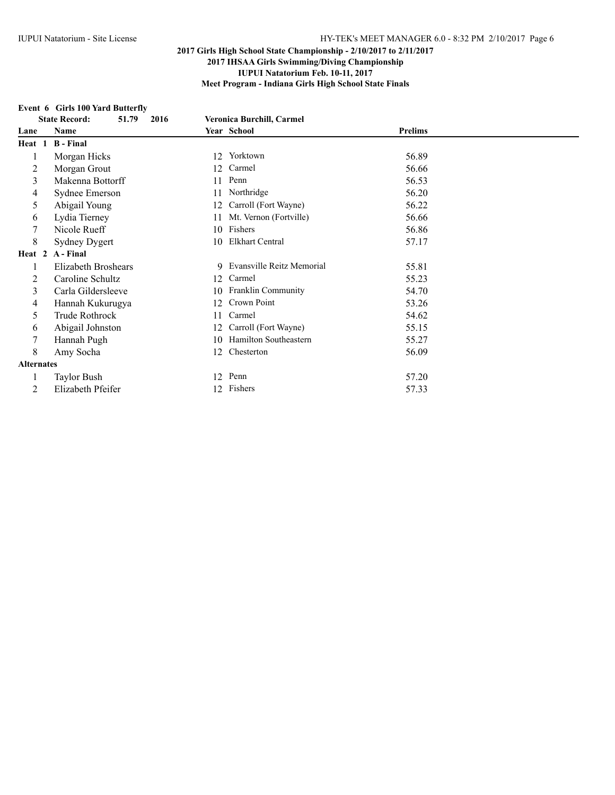### **Event 6 Girls 100 Yard Butterfly**

|                   | <b>State Record:</b><br>2016<br>51.79 | <b>Veronica Burchill, Carmel</b> |                |
|-------------------|---------------------------------------|----------------------------------|----------------|
| Lane              | Name                                  | Year School                      | <b>Prelims</b> |
| Heat 1            | <b>B</b> - Final                      |                                  |                |
|                   | Morgan Hicks                          | Yorktown<br>12                   | 56.89          |
| 2                 | Morgan Grout                          | Carmel<br>12                     | 56.66          |
| 3                 | Makenna Bottorff                      | Penn<br>11                       | 56.53          |
| 4                 | Sydnee Emerson                        | Northridge<br>11                 | 56.20          |
| 5                 | Abigail Young                         | Carroll (Fort Wayne)<br>12       | 56.22          |
| 6                 | Lydia Tierney                         | Mt. Vernon (Fortville)<br>11     | 56.66          |
|                   | Nicole Rueff                          | Fishers<br>10                    | 56.86          |
| 8                 | <b>Sydney Dygert</b>                  | <b>Elkhart Central</b><br>10     | 57.17          |
| Heat 2            | A - Final                             |                                  |                |
|                   | Elizabeth Broshears                   | 9 Evansville Reitz Memorial      | 55.81          |
| 2                 | Caroline Schultz                      | Carmel<br>12                     | 55.23          |
| 3                 | Carla Gildersleeve                    | <b>Franklin Community</b><br>10  | 54.70          |
| 4                 | Hannah Kukurugya                      | Crown Point<br>12                | 53.26          |
| 5                 | Trude Rothrock                        | Carmel<br>11                     | 54.62          |
| 6                 | Abigail Johnston                      | Carroll (Fort Wayne)<br>12       | 55.15          |
|                   | Hannah Pugh                           | Hamilton Southeastern<br>10      | 55.27          |
| 8                 | Amy Socha                             | Chesterton<br>12                 | 56.09          |
| <b>Alternates</b> |                                       |                                  |                |
|                   | <b>Taylor Bush</b>                    | Penn<br>12                       | 57.20          |
| 2                 | Elizabeth Pfeifer                     | Fishers<br>12                    | 57.33          |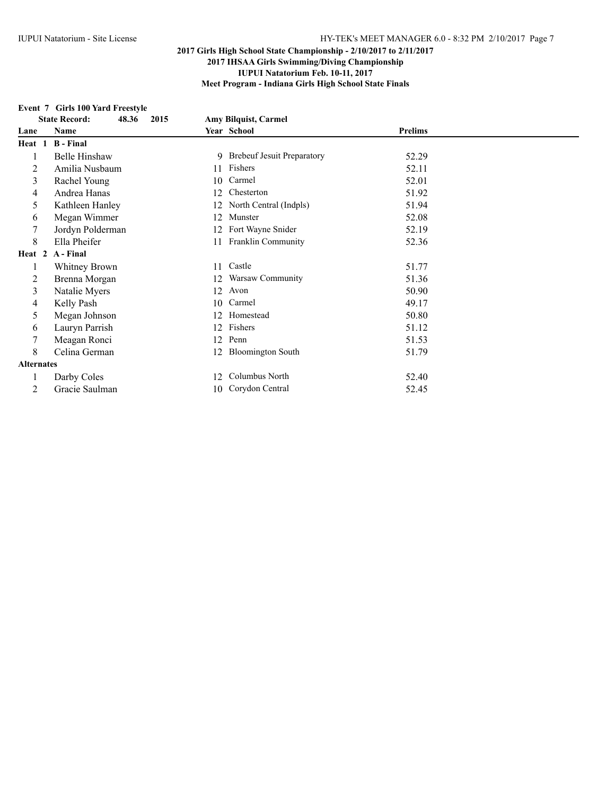### **Event 7 Girls 100 Yard Freestyle**

| EVERT / GRIS TOO TATU FICESIVIC |                                       |                             |
|---------------------------------|---------------------------------------|-----------------------------|
|                                 |                                       |                             |
| Name                            | Year School                           | <b>Prelims</b>              |
| <b>B</b> - Final<br>Heat 1      |                                       |                             |
| Belle Hinshaw                   | 9 Brebeuf Jesuit Preparatory          | 52.29                       |
| Amilia Nusbaum                  | Fishers<br>11                         | 52.11                       |
| Rachel Young                    | Carmel<br>10                          | 52.01                       |
| Andrea Hanas                    | Chesterton<br>12                      | 51.92                       |
| Kathleen Hanley                 | North Central (Indpls)<br>12          | 51.94                       |
| Megan Wimmer                    | Munster<br>12                         | 52.08                       |
| Jordyn Polderman                | Fort Wayne Snider<br>12               | 52.19                       |
| Ella Pheifer                    | Franklin Community<br>11              | 52.36                       |
| Heat 2 A-Final                  |                                       |                             |
| Whitney Brown                   | Castle<br>11                          | 51.77                       |
| Brenna Morgan                   | Warsaw Community<br>12                | 51.36                       |
| Natalie Myers                   | Avon<br>12                            | 50.90                       |
| Kelly Pash                      | Carmel<br>10                          | 49.17                       |
| Megan Johnson                   | Homestead<br>12                       | 50.80                       |
| Lauryn Parrish                  | Fishers<br>12                         | 51.12                       |
| Meagan Ronci                    | Penn<br>12                            | 51.53                       |
| Celina German                   | <b>Bloomington South</b><br>12        | 51.79                       |
| <b>Alternates</b>               |                                       |                             |
| Darby Coles                     | Columbus North<br>12                  | 52.40                       |
| Gracie Saulman                  | 10 Corydon Central                    | 52.45                       |
|                                 | <b>State Record:</b><br>48.36<br>2015 | <b>Amy Bilguist, Carmel</b> |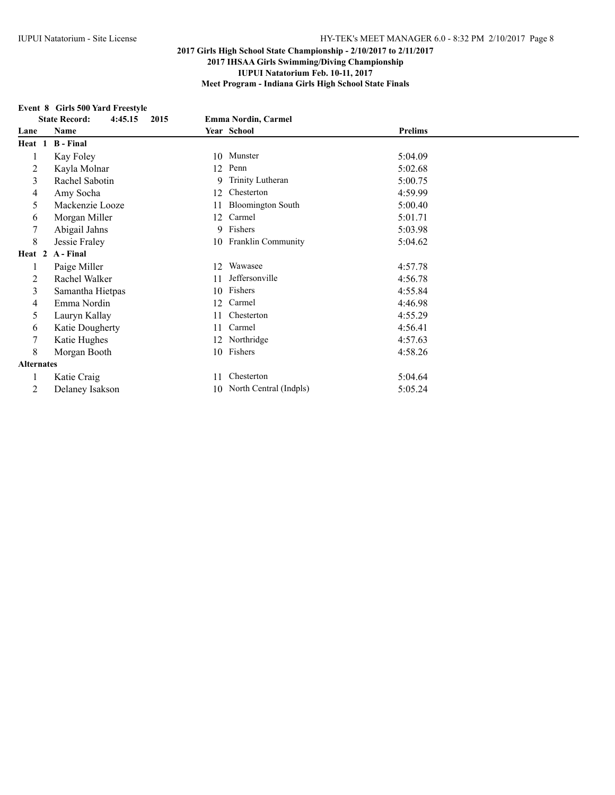## **Event 8 Girls 500 Yard Freestyle**

|                   | EVENT O GINS 500 TAIG FICESTIVE         |                                 |                |  |  |
|-------------------|-----------------------------------------|---------------------------------|----------------|--|--|
|                   | 4:45.15<br>2015<br><b>State Record:</b> | <b>Emma Nordin, Carmel</b>      |                |  |  |
| Lane              | Name                                    | Year School                     | <b>Prelims</b> |  |  |
| Heat 1            | <b>B</b> - Final                        |                                 |                |  |  |
|                   | Kay Foley                               | 10 Munster                      | 5:04.09        |  |  |
| 2                 | Kayla Molnar                            | Penn<br>12                      | 5:02.68        |  |  |
| 3                 | Rachel Sabotin                          | Trinity Lutheran<br>9           | 5:00.75        |  |  |
| 4                 | Amy Socha                               | Chesterton<br>12                | 4:59.99        |  |  |
| 5                 | Mackenzie Looze                         | <b>Bloomington South</b><br>11  | 5:00.40        |  |  |
| 6                 | Morgan Miller                           | Carmel<br>12                    | 5:01.71        |  |  |
| 7                 | Abigail Jahns                           | 9 Fishers                       | 5:03.98        |  |  |
| 8                 | Jessie Fraley                           | <b>Franklin Community</b><br>10 | 5:04.62        |  |  |
| Heat 2            | A - Final                               |                                 |                |  |  |
|                   | Paige Miller                            | Wawasee<br>12                   | 4:57.78        |  |  |
| 2                 | Rachel Walker                           | Jeffersonville<br>11            | 4:56.78        |  |  |
| 3                 | Samantha Hietpas                        | Fishers<br>10                   | 4:55.84        |  |  |
| 4                 | Emma Nordin                             | Carmel<br>12                    | 4:46.98        |  |  |
| 5                 | Lauryn Kallay                           | Chesterton<br>11                | 4:55.29        |  |  |
| 6                 | Katie Dougherty                         | Carmel<br>11                    | 4:56.41        |  |  |
| 7                 | Katie Hughes                            | 12 Northridge                   | 4:57.63        |  |  |
| 8                 | Morgan Booth                            | 10 Fishers                      | 4:58.26        |  |  |
| <b>Alternates</b> |                                         |                                 |                |  |  |
|                   | Katie Craig                             | Chesterton<br>11                | 5:04.64        |  |  |
| 2                 | Delaney Isakson                         | 10 North Central (Indpls)       | 5:05.24        |  |  |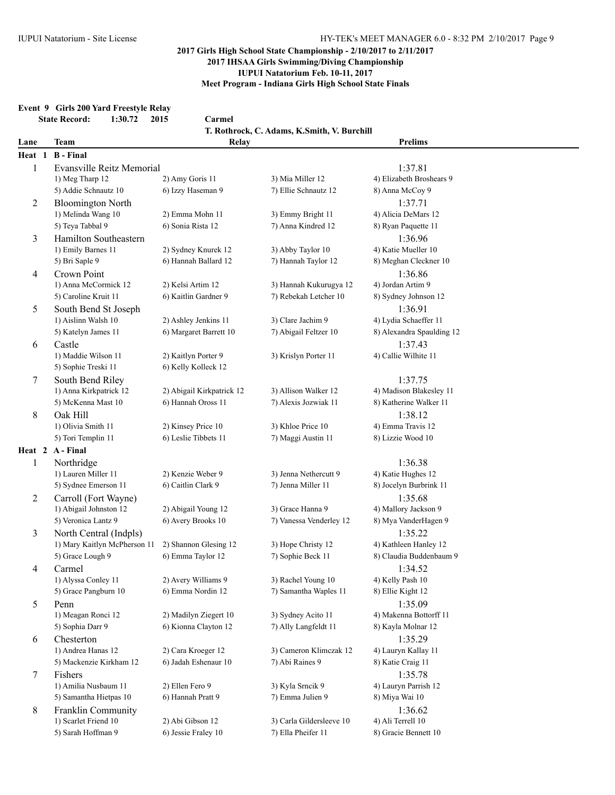### **Event 9 Girls 200 Yard Freestyle Relay**

|        | <b>State Record:</b><br>1:30.72<br>2015<br>Carmel |                           |                                             |                           |  |
|--------|---------------------------------------------------|---------------------------|---------------------------------------------|---------------------------|--|
|        |                                                   |                           | T. Rothrock, C. Adams, K.Smith, V. Burchill |                           |  |
| Lane   | <b>Team</b>                                       | Relay                     |                                             | <b>Prelims</b>            |  |
| Heat 1 | <b>B</b> - Final                                  |                           |                                             |                           |  |
| 1      | Evansville Reitz Memorial                         |                           |                                             | 1:37.81                   |  |
|        | 1) Meg Tharp 12                                   | 2) Amy Goris 11           | 3) Mia Miller 12                            | 4) Elizabeth Broshears 9  |  |
|        | 5) Addie Schnautz 10                              | 6) Izzy Haseman 9         | 7) Ellie Schnautz 12                        | 8) Anna McCoy 9           |  |
| 2      | <b>Bloomington North</b>                          |                           |                                             | 1:37.71                   |  |
|        | 1) Melinda Wang 10                                | 2) Emma Mohn 11           | 3) Emmy Bright 11                           | 4) Alicia DeMars 12       |  |
|        | 5) Teya Tabbal 9                                  | 6) Sonia Rista 12         | 7) Anna Kindred 12                          | 8) Ryan Paquette 11       |  |
| 3      | Hamilton Southeastern                             |                           |                                             | 1:36.96                   |  |
|        | 1) Emily Barnes 11                                | 2) Sydney Knurek 12       | 3) Abby Taylor 10                           | 4) Katie Mueller 10       |  |
|        | 5) Bri Saple 9                                    | 6) Hannah Ballard 12      | 7) Hannah Taylor 12                         | 8) Meghan Cleckner 10     |  |
| 4      | Crown Point                                       |                           |                                             | 1:36.86                   |  |
|        | 1) Anna McCormick 12                              | 2) Kelsi Artim 12         | 3) Hannah Kukurugya 12                      | 4) Jordan Artim 9         |  |
|        | 5) Caroline Kruit 11                              | 6) Kaitlin Gardner 9      | 7) Rebekah Letcher 10                       | 8) Sydney Johnson 12      |  |
| 5      | South Bend St Joseph                              |                           |                                             | 1:36.91                   |  |
|        | 1) Aislinn Walsh 10                               | 2) Ashley Jenkins 11      | 3) Clare Jachim 9                           | 4) Lydia Schaeffer 11     |  |
|        | 5) Katelyn James 11                               | 6) Margaret Barrett 10    | 7) Abigail Feltzer 10                       | 8) Alexandra Spaulding 12 |  |
| 6      | Castle                                            |                           |                                             | 1:37.43                   |  |
|        | 1) Maddie Wilson 11                               | 2) Kaitlyn Porter 9       | 3) Krislyn Porter 11                        | 4) Callie Wilhite 11      |  |
|        | 5) Sophie Treski 11                               | 6) Kelly Kolleck 12       |                                             |                           |  |
| 7      | South Bend Riley                                  |                           |                                             | 1:37.75                   |  |
|        | 1) Anna Kirkpatrick 12                            | 2) Abigail Kirkpatrick 12 | 3) Allison Walker 12                        | 4) Madison Blakesley 11   |  |
|        | 5) McKenna Mast 10                                | 6) Hannah Oross 11        | 7) Alexis Jozwiak 11                        | 8) Katherine Walker 11    |  |
| 8      | Oak Hill                                          |                           |                                             | 1:38.12                   |  |
|        | 1) Olivia Smith 11                                | 2) Kinsey Price 10        | 3) Khloe Price 10                           | 4) Emma Travis 12         |  |
|        | 5) Tori Templin 11                                | 6) Leslie Tibbets 11      | 7) Maggi Austin 11                          | 8) Lizzie Wood 10         |  |
|        | Heat 2 A-Final                                    |                           |                                             |                           |  |
| 1      | Northridge                                        |                           |                                             | 1:36.38                   |  |
|        | 1) Lauren Miller 11                               | 2) Kenzie Weber 9         | 3) Jenna Nethercutt 9                       | 4) Katie Hughes 12        |  |
|        | 5) Sydnee Emerson 11                              | 6) Caitlin Clark 9        | 7) Jenna Miller 11                          | 8) Jocelyn Burbrink 11    |  |
| 2      | Carroll (Fort Wayne)                              |                           |                                             | 1:35.68                   |  |
|        | 1) Abigail Johnston 12                            | 2) Abigail Young 12       | 3) Grace Hanna 9                            | 4) Mallory Jackson 9      |  |
|        | 5) Veronica Lantz 9                               | 6) Avery Brooks 10        | 7) Vanessa Venderley 12                     | 8) Mya VanderHagen 9      |  |
| 3      | North Central (Indpls)                            |                           |                                             | 1:35.22                   |  |
|        | 1) Mary Kaitlyn McPherson 11                      | 2) Shannon Glesing 12     | 3) Hope Christy 12                          | 4) Kathleen Hanley 12     |  |
|        | 5) Grace Lough 9                                  | 6) Emma Taylor 12         | 7) Sophie Beck 11                           | 8) Claudia Buddenbaum 9   |  |
| 4      | Carmel                                            |                           |                                             | 1:34.52                   |  |
|        | 1) Alyssa Conley 11                               | 2) Avery Williams 9       | 3) Rachel Young 10                          | 4) Kelly Pash 10          |  |
|        | 5) Grace Pangburn 10                              | 6) Emma Nordin 12         | 7) Samantha Waples 11                       | 8) Ellie Kight 12         |  |
| 5      | Penn                                              |                           |                                             | 1:35.09                   |  |
|        | 1) Meagan Ronci 12                                | 2) Madilyn Ziegert 10     | 3) Sydney Acito 11                          | 4) Makenna Bottorff 11    |  |
|        | 5) Sophia Darr 9                                  | 6) Kionna Clayton 12      | 7) Ally Langfeldt 11                        | 8) Kayla Molnar 12        |  |
| 6      | Chesterton                                        |                           |                                             | 1:35.29                   |  |
|        | 1) Andrea Hanas 12                                | 2) Cara Kroeger 12        | 3) Cameron Klimczak 12                      | 4) Lauryn Kallay 11       |  |
|        | 5) Mackenzie Kirkham 12                           | 6) Jadah Eshenaur 10      | 7) Abi Raines 9                             | 8) Katie Craig 11         |  |
| 7      | Fishers                                           |                           |                                             | 1:35.78                   |  |
|        | 1) Amilia Nusbaum 11                              | 2) Ellen Fero 9           | 3) Kyla Srncik 9                            | 4) Lauryn Parrish 12      |  |
|        | 5) Samantha Hietpas 10                            | 6) Hannah Pratt 9         | 7) Emma Julien 9                            | 8) Miya Wai 10            |  |
| 8      | Franklin Community                                |                           |                                             | 1:36.62                   |  |
|        | 1) Scarlet Friend 10                              | 2) Abi Gibson 12          | 3) Carla Gildersleeve 10                    | 4) Ali Terrell 10         |  |

5) Sarah Hoffman 9 6) Jessie Fraley 10 7) Ella Pheifer 11 8) Gracie Bennett 10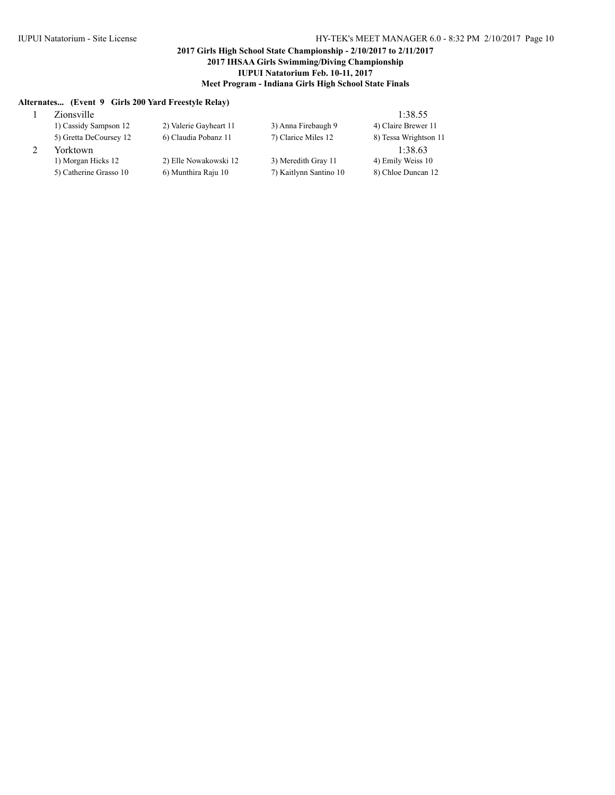### **Alternates... (Event 9 Girls 200 Yard Freestyle Relay)**

| Zionsville             |                        |                        | 1:38.55               |
|------------------------|------------------------|------------------------|-----------------------|
| 1) Cassidy Sampson 12  | 2) Valerie Gayheart 11 | 3) Anna Firebaugh 9    | 4) Claire Brewer 11   |
| 5) Gretta DeCoursey 12 | 6) Claudia Pobanz 11   | 7) Clarice Miles 12    | 8) Tessa Wrightson 11 |
| Yorktown               |                        |                        | 1:38.63               |
| 1) Morgan Hicks 12     | 2) Elle Nowakowski 12  | 3) Meredith Gray 11    | 4) Emily Weiss 10     |
| 5) Catherine Grasso 10 | 6) Munthira Raju 10    | 7) Kaitlynn Santino 10 | 8) Chloe Duncan 12    |
|                        |                        |                        |                       |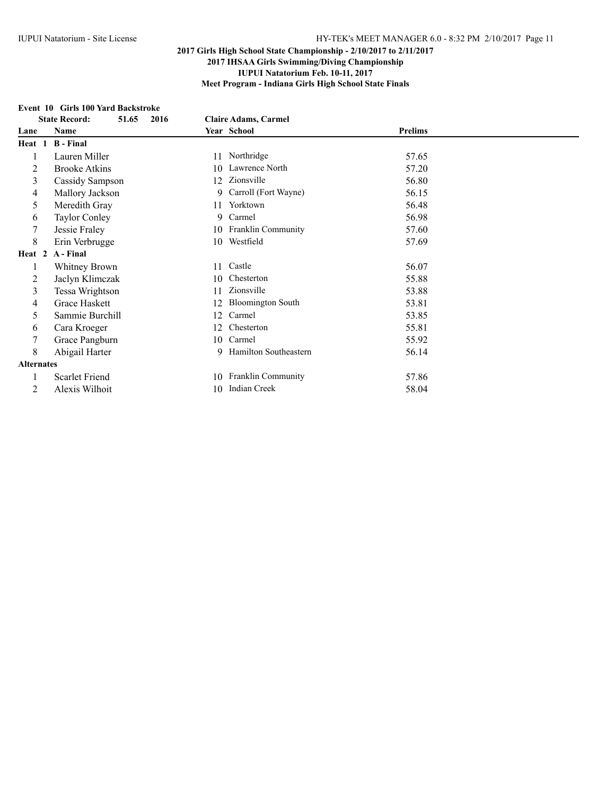#### **Event 10 Girls 100 Yard Backstroke**

|                   | <b>State Record:</b>  |                                |                |
|-------------------|-----------------------|--------------------------------|----------------|
|                   | 51.65<br>2016         | <b>Claire Adams, Carmel</b>    |                |
| Lane              | Name                  | Year School                    | <b>Prelims</b> |
| Heat 1            | <b>B</b> - Final      |                                |                |
| 1                 | Lauren Miller         | Northridge<br>11               | 57.65          |
| 2                 | <b>Brooke Atkins</b>  | Lawrence North<br>10           | 57.20          |
| 3                 | Cassidy Sampson       | Zionsville<br>12               | 56.80          |
| 4                 | Mallory Jackson       | Carroll (Fort Wayne)<br>9      | 56.15          |
| 5                 | Meredith Gray         | Yorktown<br>11                 | 56.48          |
| 6                 | <b>Taylor Conley</b>  | Carmel<br>9                    | 56.98          |
| 7                 | Jessie Fraley         | 10 Franklin Community          | 57.60          |
| 8                 | Erin Verbrugge        | Westfield<br>10                | 57.69          |
| Heat 2            | A - Final             |                                |                |
| 1                 | Whitney Brown         | Castle<br>11                   | 56.07          |
| 2                 | Jaclyn Klimczak       | Chesterton<br>10               | 55.88          |
| 3                 | Tessa Wrightson       | Zionsville<br>11               | 53.88          |
| 4                 | Grace Haskett         | <b>Bloomington South</b><br>12 | 53.81          |
| 5                 | Sammie Burchill       | Carmel<br>12                   | 53.85          |
| 6                 | Cara Kroeger          | Chesterton<br>12               | 55.81          |
| 7                 | Grace Pangburn        | Carmel<br>10                   | 55.92          |
| 8                 | Abigail Harter        | 9 Hamilton Southeastern        | 56.14          |
| <b>Alternates</b> |                       |                                |                |
|                   | <b>Scarlet Friend</b> | Franklin Community<br>10       | 57.86          |
| 2                 | Alexis Wilhoit        | <b>Indian Creek</b><br>10      | 58.04          |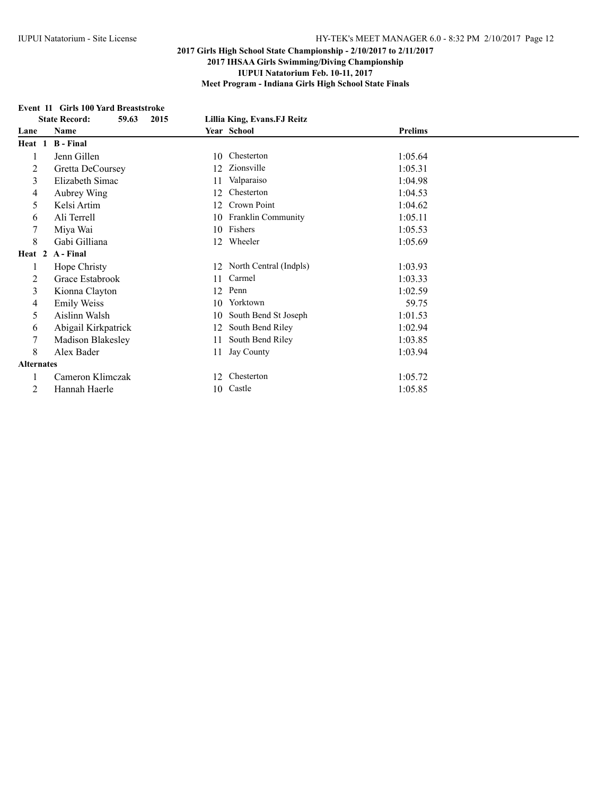# **Event 11 Girls 100 Yard Breaststroke**<br>State Record: 59.63 2015

| <b>State Record:</b><br>59.63<br>2015 |                     | Lillia King, Evans.FJ Reitz |                |
|---------------------------------------|---------------------|-----------------------------|----------------|
| Lane                                  | Name                | Year School                 | <b>Prelims</b> |
| Heat 1                                | <b>B</b> - Final    |                             |                |
| 1                                     | Jenn Gillen         | Chesterton<br>10            | 1:05.64        |
| 2                                     | Gretta DeCoursey    | Zionsville<br>12            | 1:05.31        |
| 3                                     | Elizabeth Simac     | Valparaiso<br>11            | 1:04.98        |
| 4                                     | Aubrey Wing         | Chesterton<br>12            | 1:04.53        |
| 5                                     | Kelsi Artim         | Crown Point<br>12           | 1:04.62        |
| 6                                     | Ali Terrell         | Franklin Community<br>10    | 1:05.11        |
| 7                                     | Miya Wai            | 10 Fishers                  | 1:05.53        |
| 8                                     | Gabi Gilliana       | Wheeler<br>12               | 1:05.69        |
|                                       | Heat 2 A-Final      |                             |                |
| 1                                     | Hope Christy        | 12 North Central (Indpls)   | 1:03.93        |
| 2                                     | Grace Estabrook     | Carmel<br>11                | 1:03.33        |
| 3                                     | Kionna Clayton      | Penn<br>12                  | 1:02.59        |
| 4                                     | <b>Emily Weiss</b>  | Yorktown<br>10              | 59.75          |
| 5                                     | Aislinn Walsh       | South Bend St Joseph<br>10  | 1:01.53        |
| 6                                     | Abigail Kirkpatrick | South Bend Riley<br>12      | 1:02.94        |
| 7                                     | Madison Blakesley   | South Bend Riley<br>11      | 1:03.85        |
| 8                                     | Alex Bader          | Jay County<br>11            | 1:03.94        |
| <b>Alternates</b>                     |                     |                             |                |
|                                       | Cameron Klimczak    | Chesterton<br>12            | 1:05.72        |
| 2                                     | Hannah Haerle       | 10 Castle                   | 1:05.85        |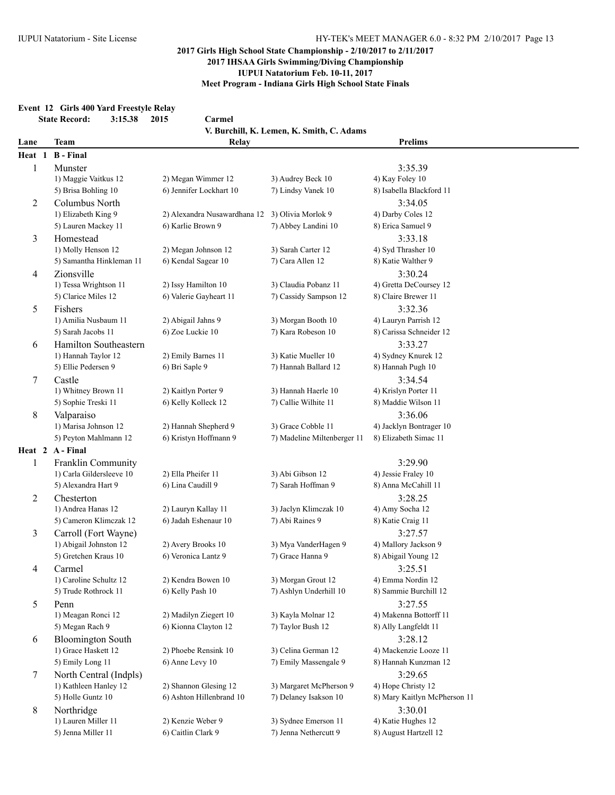#### **Event 12 Girls 400 Yard Freestyle Relay State Record: 3:15.38 2015 Carmel**

| State Record:<br>3:15.38<br><b>ZU15</b><br>Carmel |                                                |                                                 |                                                   |                                                  |  |  |
|---------------------------------------------------|------------------------------------------------|-------------------------------------------------|---------------------------------------------------|--------------------------------------------------|--|--|
|                                                   | <b>Team</b>                                    |                                                 | V. Burchill, K. Lemen, K. Smith, C. Adams         | <b>Prelims</b>                                   |  |  |
| Lane                                              | <b>B</b> - Final                               | Relay                                           |                                                   |                                                  |  |  |
| Heat 1                                            |                                                |                                                 |                                                   |                                                  |  |  |
| 1                                                 | Munster                                        |                                                 |                                                   | 3:35.39                                          |  |  |
|                                                   | 1) Maggie Vaitkus 12<br>5) Brisa Bohling 10    | 2) Megan Wimmer 12<br>6) Jennifer Lockhart 10   | 3) Audrey Beck 10<br>7) Lindsy Vanek 10           | 4) Kay Foley 10<br>8) Isabella Blackford 11      |  |  |
|                                                   |                                                |                                                 |                                                   |                                                  |  |  |
| 2<br>3                                            | Columbus North<br>1) Elizabeth King 9          | 2) Alexandra Nusawardhana 12 3) Olivia Morlok 9 |                                                   | 3:34.05<br>4) Darby Coles 12                     |  |  |
|                                                   | 5) Lauren Mackey 11                            | 6) Karlie Brown 9                               | 7) Abbey Landini 10                               | 8) Erica Samuel 9                                |  |  |
|                                                   |                                                |                                                 |                                                   |                                                  |  |  |
|                                                   | Homestead<br>1) Molly Henson 12                | 2) Megan Johnson 12                             | 3) Sarah Carter 12                                | 3:33.18<br>4) Syd Thrasher 10                    |  |  |
|                                                   | 5) Samantha Hinkleman 11                       | 6) Kendal Sagear 10                             | 7) Cara Allen 12                                  | 8) Katie Walther 9                               |  |  |
|                                                   |                                                |                                                 |                                                   |                                                  |  |  |
| 4                                                 | Zionsville                                     |                                                 |                                                   | 3:30.24                                          |  |  |
|                                                   | 1) Tessa Wrightson 11<br>5) Clarice Miles 12   | 2) Issy Hamilton 10<br>6) Valerie Gayheart 11   | 3) Claudia Pobanz 11<br>7) Cassidy Sampson 12     | 4) Gretta DeCoursey 12<br>8) Claire Brewer 11    |  |  |
|                                                   |                                                |                                                 |                                                   |                                                  |  |  |
| 5                                                 | Fishers<br>1) Amilia Nusbaum 11                |                                                 |                                                   | 3:32.36                                          |  |  |
|                                                   | 5) Sarah Jacobs 11                             | 2) Abigail Jahns 9<br>6) Zoe Luckie 10          | 3) Morgan Booth 10<br>7) Kara Robeson 10          | 4) Lauryn Parrish 12<br>8) Carissa Schneider 12  |  |  |
|                                                   |                                                |                                                 |                                                   |                                                  |  |  |
| 6                                                 | Hamilton Southeastern                          |                                                 |                                                   | 3:33.27                                          |  |  |
|                                                   | 1) Hannah Taylor 12                            | 2) Emily Barnes 11<br>6) Bri Saple 9            | 3) Katie Mueller 10<br>7) Hannah Ballard 12       | 4) Sydney Knurek 12                              |  |  |
|                                                   | 5) Ellie Pedersen 9                            |                                                 |                                                   | 8) Hannah Pugh 10                                |  |  |
| 7                                                 | Castle                                         |                                                 | 3) Hannah Haerle 10                               | 3:34.54                                          |  |  |
|                                                   | 1) Whitney Brown 11<br>5) Sophie Treski 11     | 2) Kaitlyn Porter 9<br>6) Kelly Kolleck 12      | 7) Callie Wilhite 11                              | 4) Krislyn Porter 11<br>8) Maddie Wilson 11      |  |  |
|                                                   |                                                |                                                 |                                                   |                                                  |  |  |
| 8                                                 | Valparaiso                                     |                                                 |                                                   | 3:36.06                                          |  |  |
|                                                   | 1) Marisa Johnson 12<br>5) Peyton Mahlmann 12  | 2) Hannah Shepherd 9<br>6) Kristyn Hoffmann 9   | 3) Grace Cobble 11<br>7) Madeline Miltenberger 11 | 4) Jacklyn Bontrager 10<br>8) Elizabeth Simac 11 |  |  |
|                                                   | Heat 2 A-Final                                 |                                                 |                                                   |                                                  |  |  |
|                                                   |                                                |                                                 |                                                   |                                                  |  |  |
| $\mathbf{1}$                                      | Franklin Community<br>1) Carla Gildersleeve 10 | 2) Ella Pheifer 11                              | 3) Abi Gibson 12                                  | 3:29.90<br>4) Jessie Fraley 10                   |  |  |
|                                                   | 5) Alexandra Hart 9                            | 6) Lina Caudill 9                               | 7) Sarah Hoffman 9                                | 8) Anna McCahill 11                              |  |  |
|                                                   |                                                |                                                 |                                                   |                                                  |  |  |
| 2                                                 | Chesterton<br>1) Andrea Hanas 12               | 2) Lauryn Kallay 11                             | 3) Jaclyn Klimczak 10                             | 3:28.25<br>4) Amy Socha 12                       |  |  |
|                                                   | 5) Cameron Klimczak 12                         | 6) Jadah Eshenaur 10                            | 7) Abi Raines 9                                   | 8) Katie Craig 11                                |  |  |
|                                                   |                                                |                                                 |                                                   | 3:27.57                                          |  |  |
| 3                                                 | Carroll (Fort Wayne)<br>1) Abigail Johnston 12 | 2) Avery Brooks 10                              | 3) Mya VanderHagen 9                              | 4) Mallory Jackson 9                             |  |  |
|                                                   | 5) Gretchen Kraus 10                           | 6) Veronica Lantz 9                             | 7) Grace Hanna 9                                  | 8) Abigail Young 12                              |  |  |
|                                                   | Carmel                                         |                                                 |                                                   | 3:25.51                                          |  |  |
| 4                                                 | 1) Caroline Schultz 12                         | 2) Kendra Bowen 10                              | 3) Morgan Grout 12                                | 4) Emma Nordin 12                                |  |  |
|                                                   | 5) Trude Rothrock 11                           | 6) Kelly Pash 10                                | 7) Ashlyn Underhill 10                            | 8) Sammie Burchill 12                            |  |  |
| 5                                                 | Penn                                           |                                                 |                                                   | 3:27.55                                          |  |  |
|                                                   | 1) Meagan Ronci 12                             | 2) Madilyn Ziegert 10                           | 3) Kayla Molnar 12                                | 4) Makenna Bottorff 11                           |  |  |
|                                                   | 5) Megan Rach 9                                | 6) Kionna Clayton 12                            | 7) Taylor Bush 12                                 | 8) Ally Langfeldt 11                             |  |  |
| 6                                                 | <b>Bloomington South</b>                       |                                                 |                                                   | 3:28.12                                          |  |  |
|                                                   | 1) Grace Haskett 12                            | 2) Phoebe Rensink 10                            | 3) Celina German 12                               | 4) Mackenzie Looze 11                            |  |  |
|                                                   | 5) Emily Long 11                               | 6) Anne Levy 10                                 | 7) Emily Massengale 9                             | 8) Hannah Kunzman 12                             |  |  |
| 7                                                 | North Central (Indpls)                         |                                                 |                                                   | 3:29.65                                          |  |  |
|                                                   | 1) Kathleen Hanley 12                          | 2) Shannon Glesing 12                           | 3) Margaret McPherson 9                           | 4) Hope Christy 12                               |  |  |
|                                                   | 5) Holle Guntz 10                              | 6) Ashton Hillenbrand 10                        | 7) Delaney Isakson 10                             | 8) Mary Kaitlyn McPherson 11                     |  |  |
| 8                                                 | Northridge                                     |                                                 |                                                   | 3:30.01                                          |  |  |
|                                                   | 1) Lauren Miller 11                            | 2) Kenzie Weber 9                               | 3) Sydnee Emerson 11                              | 4) Katie Hughes 12                               |  |  |
|                                                   | 5) Jenna Miller 11                             | 6) Caitlin Clark 9                              | 7) Jenna Nethercutt 9                             | 8) August Hartzell 12                            |  |  |